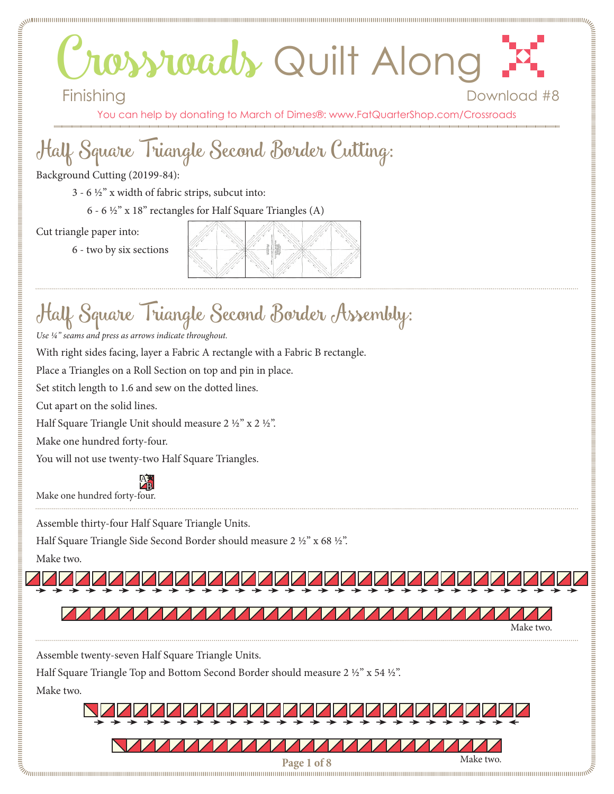You can help by donating to March of Dimes®: www.FatQuarterShop.com/Crossroads

# Half Square Triangle Second Border Cutting:

Background Cutting (20199-84):

- 3 6  $\frac{1}{2}$ " x width of fabric strips, subcut into:
- 6 6  $\frac{1}{2}$ " x 18" rectangles for Half Square Triangles (A)

Cut triangle paper into:

6 - two by six sections



# Half Square Triangle Second Border Assembly:

*Use 1/4" seams and press as arrows indicate throughout.*

With right sides facing, layer a Fabric A rectangle with a Fabric B rectangle.

Place a Triangles on a Roll Section on top and pin in place.

Set stitch length to 1.6 and sew on the dotted lines.

Cut apart on the solid lines.

Half Square Triangle Unit should measure 2 ½" x 2 ½".

Make one hundred forty-four.

You will not use twenty-two Half Square Triangles.



Assemble thirty-four Half Square Triangle Units.

Half Square Triangle Side Second Border should measure 2 ½" x 68 ½".

Make two.



Assemble twenty-seven Half Square Triangle Units.

Half Square Triangle Top and Bottom Second Border should measure 2 ½" x 54 ½".

Make two.

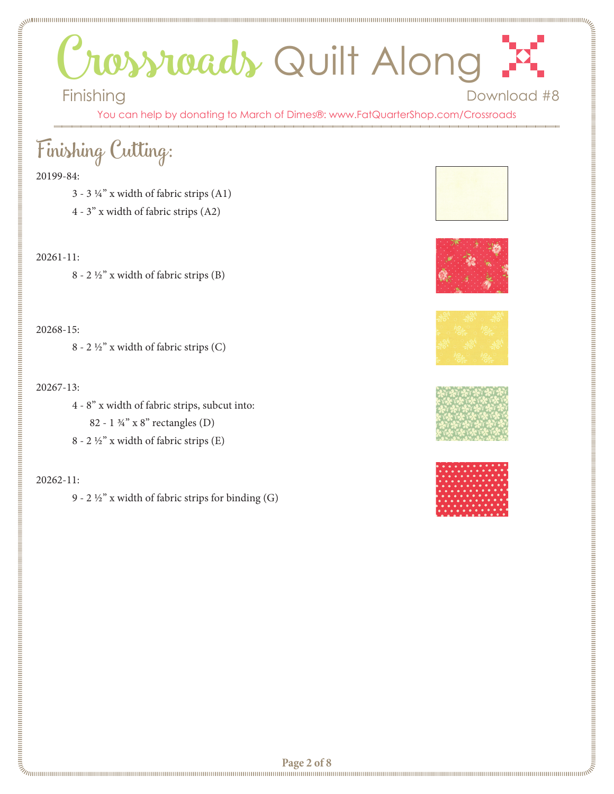You can help by donating to March of Dimes®: www.FatQuarterShop.com/Crossroads

## Finishing Cutting:

### 20199-84:

- $3 3\frac{1}{4}$ " x width of fabric strips  $(A1)$
- 4 3" x width of fabric strips (A2)

#### 20261-11:

8 - 2 ½" x width of fabric strips  $(B)$ 

#### 20268-15:

8 - 2  $\frac{1}{2}$ " x width of fabric strips (C)

### 20267-13:

- 4 8" x width of fabric strips, subcut into: 82 - 1 ¾" x 8" rectangles (D)
- 8 2  $\frac{1}{2}$ " x width of fabric strips (E)

#### 20262-11:

9 - 2 ½" x width of fabric strips for binding  $(G)$ 









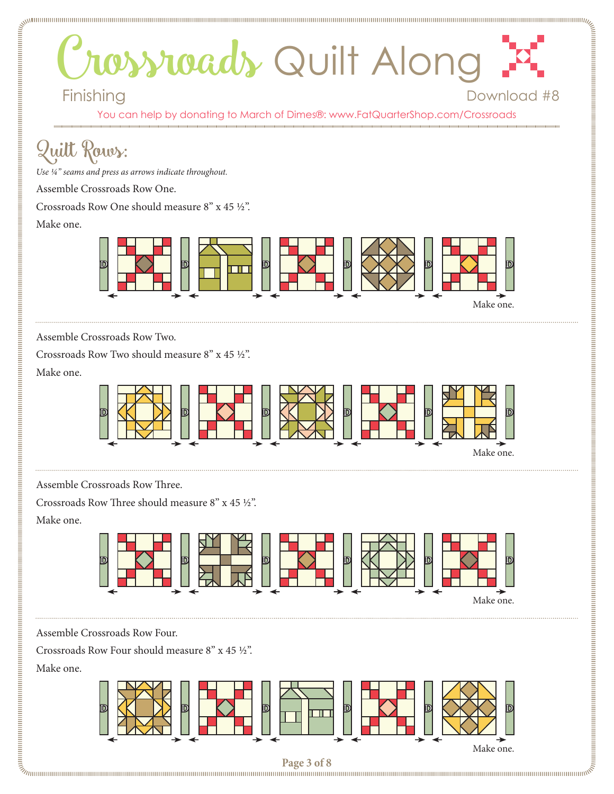You can help by donating to March of Dimes®: www.FatQuarterShop.com/Crossroads

## Quilt Rows:

*Use 1/4" seams and press as arrows indicate throughout.*

Assemble Crossroads Row One.

Crossroads Row One should measure  $8"$  x 45  $\frac{1}{2}$ .

Make one.



Assemble Crossroads Row Two.

Crossroads Row Two should measure  $8"$  x 45  $\frac{1}{2}"$ .

Make one.



Assemble Crossroads Row Three.

Crossroads Row Three should measure  $8"$  x 45  $\frac{1}{2}$ .

Make one.



Assemble Crossroads Row Four.

Crossroads Row Four should measure  $8"$  x 45  $\frac{1}{2}$ .

Make one.

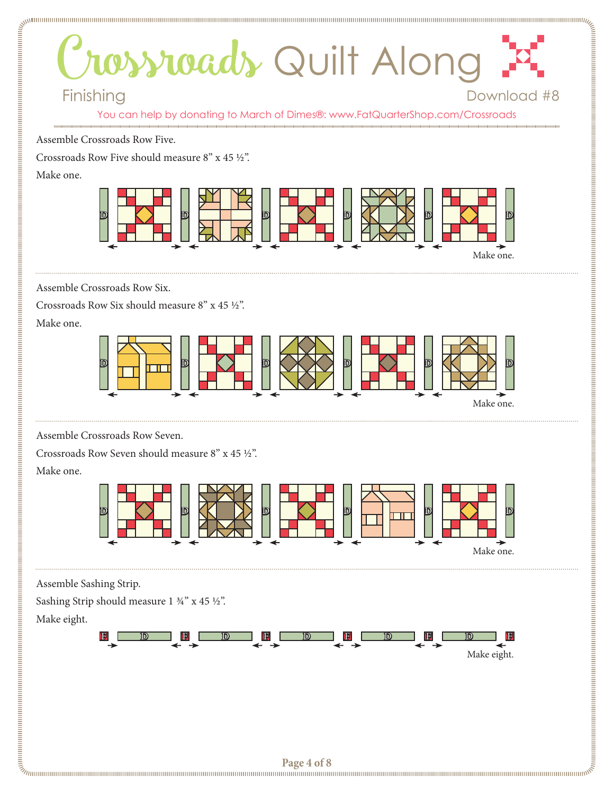

Make one.

Assemble Crossroads Row Six.

Crossroads Row Six should measure  $8"$  x 45  $\frac{1}{2}$ .

Make one.



Assemble Crossroads Row Seven.

Crossroads Row Seven should measure  $8"$  x 45  $\frac{1}{2}"$ .

Make one.



Assemble Sashing Strip.

Sashing Strip should measure  $1\frac{3}{4}$ " x 45 ½".

Make eight.

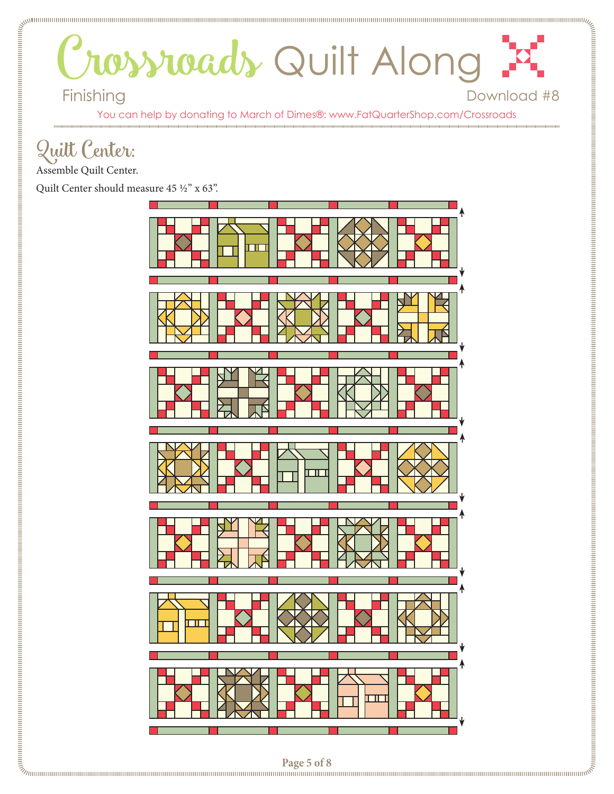You can help by donating to March of Dimes®: www.FatQuarterShop.com/Crossroads

### Quilt Center:

Assemble Quilt Center.

Quilt Center should measure  $45\frac{1}{2}$ " x 63".

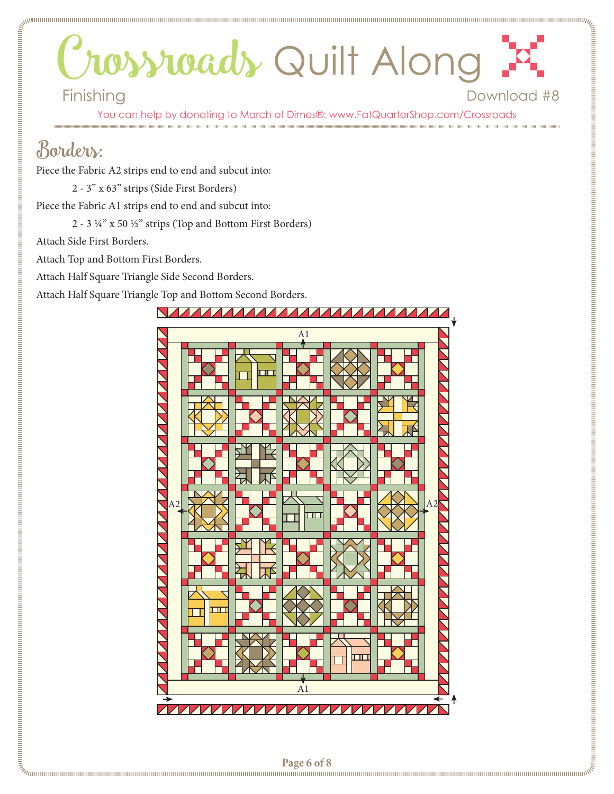# Crossroads Quilt Along

### Finishing Download #8

You can help by donating to March of Dimes®: www.FatQuarterShop.com/Crossroads

### Borders:

Piece the Fabric A2 strips end to end and subcut into:

2 - 3" x 63" strips (Side First Borders)

Piece the Fabric A1 strips end to end and subcut into:

2 - 3 ¼" x 50 ½" strips (Top and Bottom First Borders)

Attach Side First Borders.

Attach Top and Bottom First Borders.

Attach Half Square Triangle Side Second Borders.

Attach Half Square Triangle Top and Bottom Second Borders.

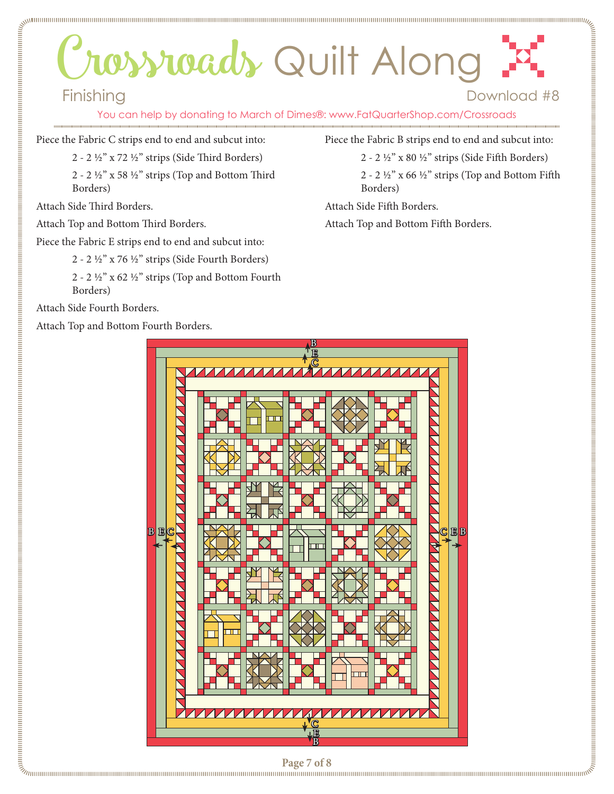# Crossroads Quilt Along

### Finishing Download #8

You can help by donating to March of Dimes®: www.FatQuarterShop.com/Crossroads

Piece the Fabric C strips end to end and subcut into:

2 - 2 1/2" x 72 1/2" strips (Side Third Borders)

2 - 2  $\frac{1}{2}$ " x 58  $\frac{1}{2}$ " strips (Top and Bottom Third Borders)

Attach Side Third Borders.

Attach Top and Bottom Third Borders.

Piece the Fabric E strips end to end and subcut into:

2 - 2 1/2" x 76 1/2" strips (Side Fourth Borders)

2 - 2  $\frac{1}{2}$ " x 62  $\frac{1}{2}$ " strips (Top and Bottom Fourth Borders)

Attach Side Fourth Borders.

Attach Top and Bottom Fourth Borders.

Piece the Fabric B strips end to end and subcut into:

2 - 2 1/2" x 80 1/2" strips (Side Fifth Borders)

2 - 2 ½" x 66 ½" strips (Top and Bottom Fifth Borders)

Attach Side Fifth Borders.

Attach Top and Bottom Fifth Borders.